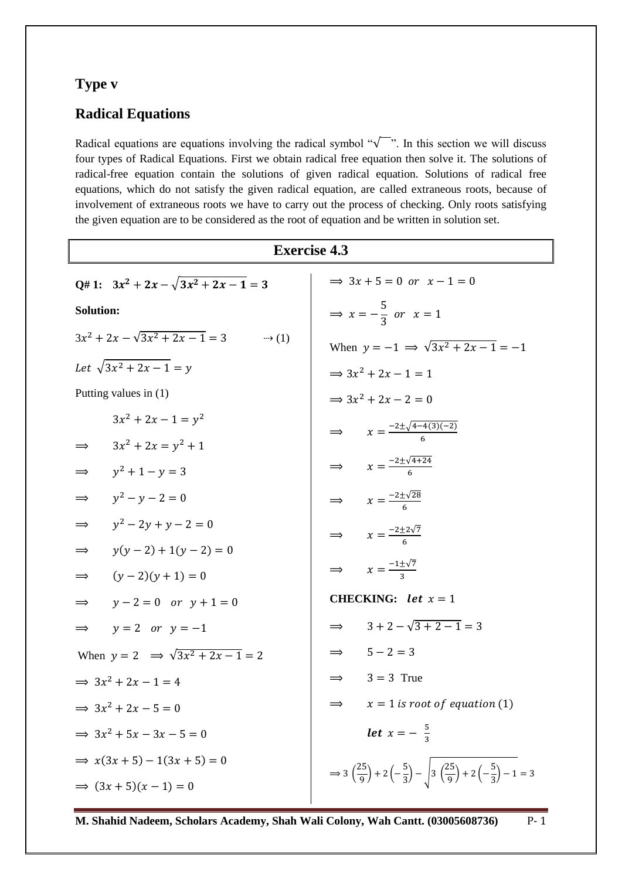## **Type v**

## **Radical Equations**

Radical equations are equations involving the radical symbol " $\sqrt{\ }$ ". In this section we will discuss four types of Radical Equations. First we obtain radical free equation then solve it. The solutions of radical-free equation contain the solutions of given radical equation. Solutions of radical free equations, which do not satisfy the given radical equation, are called extraneous roots, because of involvement of extraneous roots we have to carry out the process of checking. Only roots satisfying the given equation are to be considered as the root of equation and be written in solution set.

| <b>Exercise 4.3</b>                            |                                                                                                                                                |  |
|------------------------------------------------|------------------------------------------------------------------------------------------------------------------------------------------------|--|
| Q# 1: $3x^2 + 2x - \sqrt{3x^2 + 2x - 1} = 3$   | $\Rightarrow$ 3x + 5 = 0 or x - 1 = 0                                                                                                          |  |
| <b>Solution:</b>                               | $\Rightarrow$ $x = -\frac{5}{3}$ or $x = 1$                                                                                                    |  |
|                                                | When $y = -1 \implies \sqrt{3x^2 + 2x - 1} = -1$                                                                                               |  |
| Let $\sqrt{3x^2 + 2x - 1} = y$                 | $\Rightarrow 3x^2 + 2x - 1 = 1$                                                                                                                |  |
| Putting values in $(1)$                        | $\Rightarrow 3x^2 + 2x - 2 = 0$                                                                                                                |  |
| $3x^2 + 2x - 1 = y^2$                          | $\Rightarrow x = \frac{-2 \pm \sqrt{4 - 4(3)(-2)}}{6}$                                                                                         |  |
| $3x^2 + 2x = y^2 + 1$                          |                                                                                                                                                |  |
| $\implies$ $y^2 + 1 - y = 3$                   | $\Rightarrow x = \frac{-2 \pm \sqrt{4 + 24}}{6}$                                                                                               |  |
| $\implies y^2 - y - 2 = 0$                     | $\Rightarrow x = \frac{-2 \pm \sqrt{28}}{6}$                                                                                                   |  |
| $\implies y^2 - 2y + y - 2 = 0$                | $\Rightarrow$ $x = \frac{-2 \pm 2\sqrt{7}}{6}$                                                                                                 |  |
| $\Rightarrow$ $y(y-2)+1(y-2)=0$                |                                                                                                                                                |  |
| $\implies$ $(y-2)(y+1) = 0$                    | $\Rightarrow x = \frac{-1 \pm \sqrt{7}}{2}$                                                                                                    |  |
| $\Rightarrow$ $y-2=0$ or $y+1=0$               | <b>CHECKING:</b> let $x = 1$                                                                                                                   |  |
| $\Rightarrow$ y = 2 or y = -1                  | $\Rightarrow \qquad 3+2-\sqrt{3+2-1}=3$                                                                                                        |  |
| When $y = 2 \implies \sqrt{3x^2 + 2x - 1} = 2$ | $\Rightarrow$ 5-2=3                                                                                                                            |  |
| $\Rightarrow 3x^2 + 2x - 1 = 4$                | $\implies$ 3 = 3 True                                                                                                                          |  |
| $\Rightarrow 3x^2 + 2x - 5 = 0$                | $\implies$ $x = 1$ is root of equation (1)                                                                                                     |  |
| $\Rightarrow 3x^2 + 5x - 3x - 5 = 0$           | <b>let</b> $x = -\frac{5}{2}$                                                                                                                  |  |
| $\Rightarrow x(3x+5)-1(3x+5)=0$                |                                                                                                                                                |  |
| $\Rightarrow (3x+5)(x-1) = 0$                  | $\Rightarrow 3\left(\frac{25}{9}\right) + 2\left(-\frac{5}{3}\right) - \sqrt{3\left(\frac{25}{9}\right) + 2\left(-\frac{5}{3}\right)} - 1 = 3$ |  |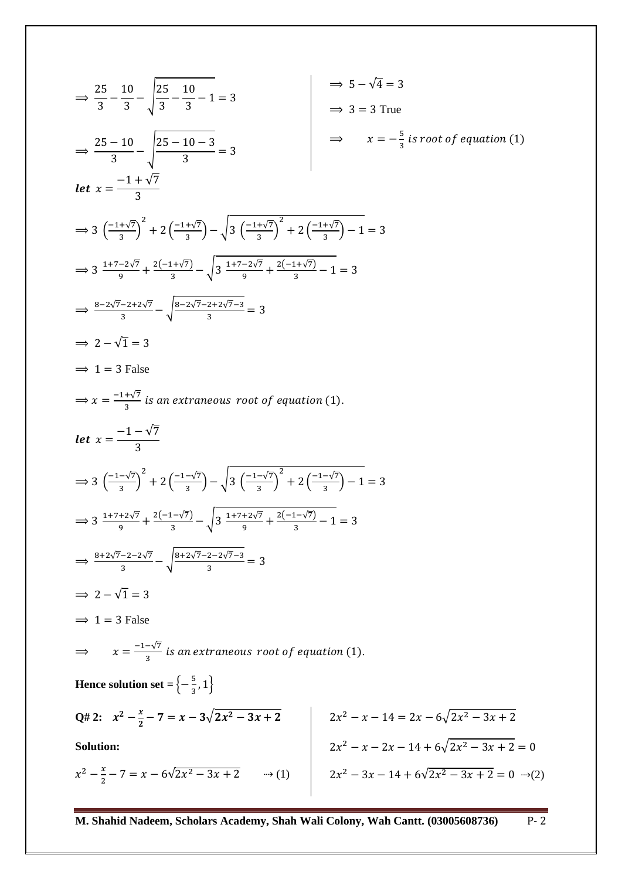$$
\frac{25}{3} - \frac{10}{3} - \sqrt{\frac{25}{3} - \frac{10}{3} - 1} = 3
$$
\n
$$
\frac{25 - 10}{3} - \sqrt{\frac{25 - 10 - 3}{3}} = 3
$$
\n
$$
\frac{25 - 10}{3} - \sqrt{\frac{25 - 10 - 3}{3}} = 3
$$
\n
$$
\frac{1}{3} - \sqrt{\frac{25 - 10 - 3}{3}} = 3
$$
\n
$$
\frac{1}{3} - \sqrt{\frac{25 - 10 - 3}{3}} = 3
$$
\n
$$
\Rightarrow 3 = 3 \text{ True}
$$
\n
$$
\Rightarrow x = -\frac{5}{3} \text{ is root of equation (1)}
$$
\n
$$
\text{let } x = \frac{-1 + \sqrt{7}}{3}
$$
\n
$$
\Rightarrow \frac{3}{1 + \sqrt{2}\sqrt{7}} + \frac{2(-1 + \sqrt{7})}{3} - \sqrt{3(\frac{-1 + \sqrt{7}}{3})^2 + 2(\frac{-1 + \sqrt{7}}{3}) - 1} = 3
$$
\n
$$
\Rightarrow \frac{3 - 2\sqrt{7} - 2 + 2\sqrt{7}}{3} - \sqrt{\frac{8 - 2\sqrt{7} - 2 + 2\sqrt{7} - 3}{3}} = 3
$$
\n
$$
\Rightarrow 2 - \sqrt{1} = 3
$$
\n
$$
\Rightarrow 1 = 3 \text{ False}
$$
\n
$$
\Rightarrow x = \frac{-1 + \sqrt{7}}{3} \text{ is an extraneous root of equation (1)}.
$$
\n
$$
\text{let } x = \frac{-1 - \sqrt{7}}{3}
$$
\n
$$
\Rightarrow 3(\frac{-1 - \sqrt{7}}{3})^2 + 2(\frac{-1 - \sqrt{7}}{3}) - \sqrt{3(\frac{-1 - \sqrt{7}}{3})^2 + 2(\frac{-1 - \sqrt{7}}{3}) - 1} = 3
$$
\n
$$
\Rightarrow 3 \frac{1 + 7 + 2\sqrt{7}}{3} + \frac{2(-1 - \sqrt{7})}{3} - \sqrt{3(\frac{-1 - \sqrt{7}}{3})^2 + 2(\frac{-1 - \sqrt{7}}{3}) - 1} = 3
$$
\n
$$
\Rightarrow 3 = 2 - \sqrt{1} = 3
$$
\n
$$
\Rightarrow
$$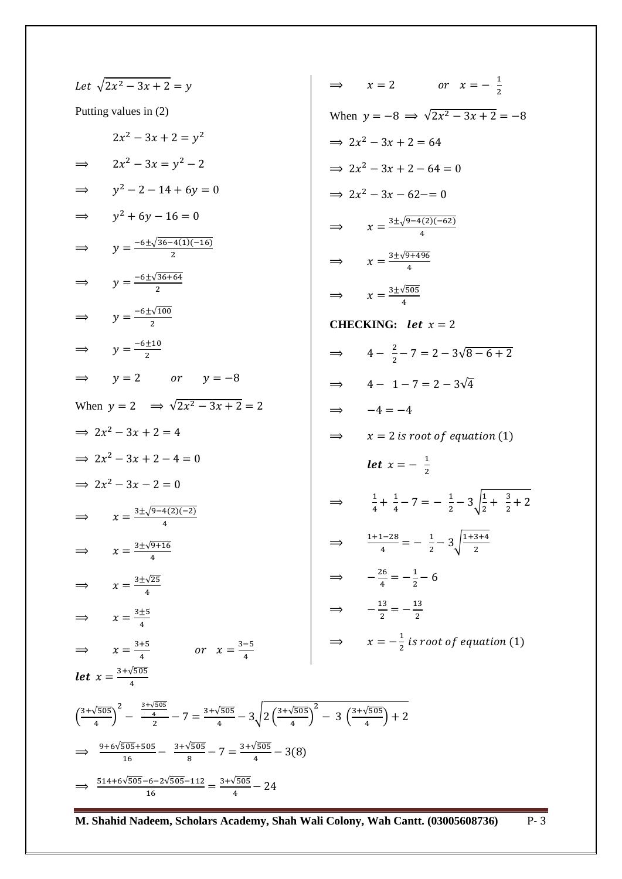Let 
$$
\sqrt{2x^2 - 3x + 2} = y
$$
  
\nPutting values in (2)  
\n $2x^2 - 3x + 2 = y^2$   
\n $2x^2 - 3x + 2 = y^2$   
\n $2x^2 - 3x + 2 = y^2$   
\n $2x^2 - 3x + 2 = 64$   
\n $2x^2 - 3x + 2 = 64$   
\n $2x^2 - 3x + 2 = 64$   
\n $2x^2 - 3x + 2 = 64$   
\n $2x^2 - 3x + 2 = 64$   
\n $2x^2 - 3x + 2 = 64$   
\n $2x^2 - 3x + 2 = 64$   
\n $2x^2 - 3x + 2 = 64$   
\n $2x^2 - 3x + 2 = 64$   
\n $2x^2 - 3x + 2 = 64$   
\n $2x^2 - 3x + 2 = 64$   
\n $2x^2 - 3x + 2 = 64$   
\n $2x^2 - 3x + 2 = 64$   
\n $2x^2 - 3x + 2 = 64$   
\n $2x^2 - 3x + 2 = 64$   
\n $2x^2 - 3x + 2 = 64$   
\n $x = \frac{3 \pm \sqrt{9-4(2)(-62)}}{4}$   
\n $x = \frac{3 \pm \sqrt{9-4(2)(-62)}}{4}$   
\n $x = \frac{3 \pm \sqrt{9-68}}{4}$   
\n $x = 2 \pm \sqrt{805}$   
\nWhen  $y = 2 \Rightarrow \sqrt{2x^2 - 3x + 2} = 2$   
\n $2x^2 - 3x + 2 = 4$   
\n $2x^2 - 3x + 2 = 4$   
\n $2x^2 - 3x + 2 = 4$   
\n $2x^2 - 3x + 2 = 4$   
\n $2x^2 - 3x + 2 = 4$   
\n $2x^2 - 3x + 2 = 4$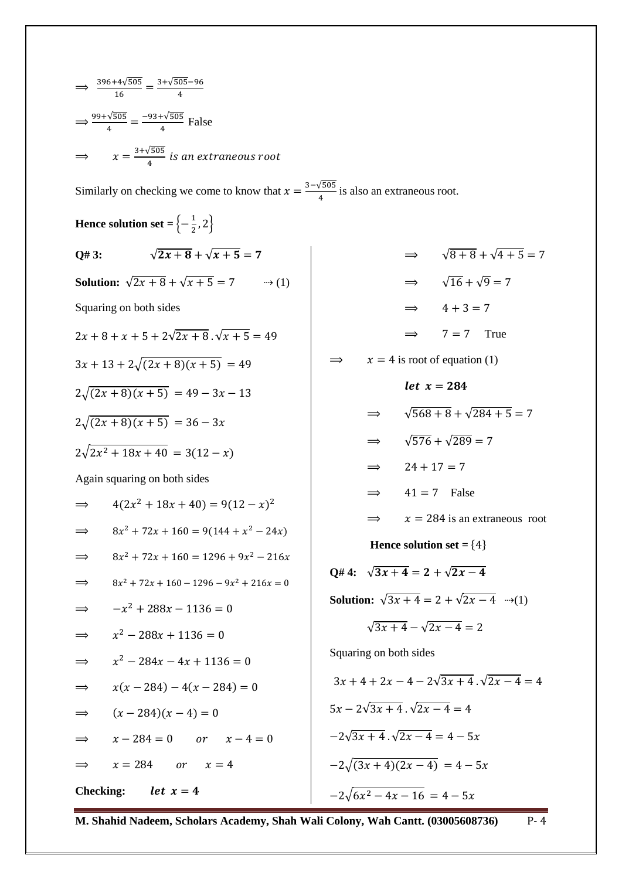| $\implies \frac{396 + 4\sqrt{505}}{16} = \frac{3 + \sqrt{505} - 96}{4}$                             |                                                          |  |  |
|-----------------------------------------------------------------------------------------------------|----------------------------------------------------------|--|--|
| $\Rightarrow \frac{99 + \sqrt{505}}{4} = \frac{-93 + \sqrt{505}}{4}$ False                          |                                                          |  |  |
| $\Rightarrow$ $x = \frac{3+\sqrt{505}}{4}$ is an extraneous root                                    |                                                          |  |  |
| Similarly on checking we come to know that $x = \frac{3-\sqrt{505}}{4}$ is also an extraneous root. |                                                          |  |  |
| Hence solution set = $\left\{-\frac{1}{2}, 2\right\}$                                               |                                                          |  |  |
| $\sqrt{2x+8} + \sqrt{x+5} = 7$<br>Q# 3:                                                             | $\Rightarrow \sqrt{8+8} + \sqrt{4+5} = 7$                |  |  |
|                                                                                                     | $\Rightarrow \sqrt{16} + \sqrt{9} = 7$                   |  |  |
| Squaring on both sides                                                                              | $\implies$ 4+3=7                                         |  |  |
| $2x + 8 + x + 5 + 2\sqrt{2x + 8} \cdot \sqrt{x + 5} = 49$                                           | $\implies$ 7 = 7 True                                    |  |  |
| $3x + 13 + 2\sqrt{(2x+8)(x+5)} = 49$                                                                | $x = 4$ is root of equation (1)                          |  |  |
| $2\sqrt{(2x+8)(x+5)} = 49 - 3x - 13$                                                                | <i>let</i> $x = 284$                                     |  |  |
| $2\sqrt{(2x+8)(x+5)} = 36-3x$                                                                       | $\sqrt{568+8} + \sqrt{284+5} = 7$                        |  |  |
| $2\sqrt{2x^2+18x+40} = 3(12-x)$                                                                     | $\sqrt{576} + \sqrt{289} = 7$<br>$\implies$              |  |  |
| Again squaring on both sides                                                                        | $24 + 17 = 7$<br>$\implies$                              |  |  |
| $4(2x^2+18x+40)=9(12-x)^2$                                                                          | $41 = 7$<br>False<br>$\implies$                          |  |  |
| $\implies$                                                                                          | $x = 284$ is an extraneous root<br>$\implies$            |  |  |
| $8x^2 + 72x + 160 = 9(144 + x^2 - 24x)$<br>$8x^2 + 72x + 160 = 1296 + 9x^2 - 216x$                  | Hence solution set = ${4}$                               |  |  |
| $\Rightarrow$<br>$8x^2 + 72x + 160 - 1296 - 9x^2 + 216x = 0$                                        | O# 4: $\sqrt{3x+4} = 2 + \sqrt{2x-4}$                    |  |  |
| $\implies$<br>$-x^2 + 288x - 1136 = 0$                                                              | <b>Solution:</b> $\sqrt{3x+4} = 2 + \sqrt{2x-4}$ (1)     |  |  |
| $\Rightarrow$<br>$x^2 - 288x + 1136 = 0$                                                            | $\sqrt{3x+4} - \sqrt{2x-4} = 2$                          |  |  |
| $\Rightarrow$<br>$x^2 - 284x - 4x + 1136 = 0$                                                       | Squaring on both sides                                   |  |  |
| $\implies$<br>$x(x-284)-4(x-284)=0$                                                                 | $3x + 4 + 2x - 4 - 2\sqrt{3x + 4}$ . $\sqrt{2x - 4} = 4$ |  |  |
| $\Rightarrow$<br>$(x-284)(x-4)=0$<br>$\Rightarrow$                                                  | $5x - 2\sqrt{3x + 4}$ , $\sqrt{2x - 4} = 4$              |  |  |
| $x - 284 = 0$ or $x - 4 = 0$<br>$\Rightarrow$                                                       | $-2\sqrt{3x+4}$ , $\sqrt{2x-4} = 4-5x$                   |  |  |
| $x = 284$ or $x = 4$<br>$\Rightarrow$                                                               | $-2\sqrt{(3x+4)(2x-4)} = 4-5x$                           |  |  |
| <b>Checking:</b><br>let $x=4$                                                                       |                                                          |  |  |
|                                                                                                     | $-2\sqrt{6x^2-4x-16} = 4-5x$                             |  |  |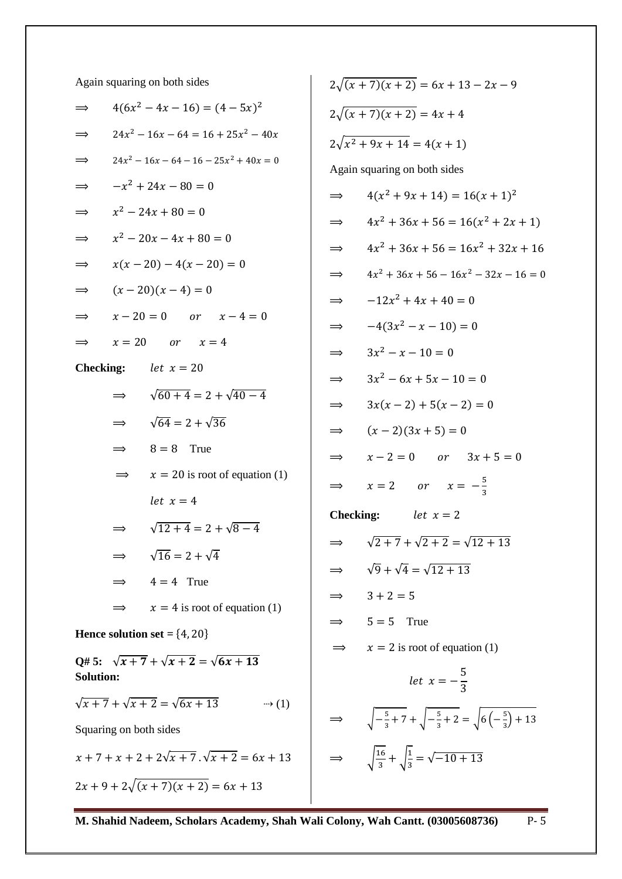Again squaring on both sides

| $\implies$                                                        |                           | $4(6x^2 - 4x - 16) = (4 - 5x)^2$          |  |
|-------------------------------------------------------------------|---------------------------|-------------------------------------------|--|
| $\Rightarrow$                                                     |                           | $24x^2 - 16x - 64 = 16 + 25x^2 - 40x$     |  |
| $\Rightarrow$                                                     |                           | $24x^2 - 16x - 64 - 16 - 25x^2 + 40x = 0$ |  |
| $\Rightarrow$                                                     | $-x^2 + 24x - 80 = 0$     |                                           |  |
| $\Rightarrow$                                                     | $x^2 - 24x + 80 = 0$      |                                           |  |
| $\Rightarrow$                                                     | $x^2 - 20x - 4x + 80 = 0$ |                                           |  |
| $\Rightarrow$                                                     | $x(x-20)-4(x-20)=0$       |                                           |  |
| $\Rightarrow$                                                     |                           | $(x-20)(x-4)=0$                           |  |
| $\Rightarrow$                                                     |                           | $x - 20 = 0$ or $x - 4 = 0$               |  |
| $\implies$                                                        |                           | $x = 20$ or $x = 4$                       |  |
|                                                                   |                           | <b>Checking:</b> <i>let</i> $x = 20$      |  |
|                                                                   | $\Rightarrow$             | $\sqrt{60+4}$ = 2 + $\sqrt{40-4}$         |  |
|                                                                   | $\Rightarrow$             | $\sqrt{64}$ = 2 + $\sqrt{36}$             |  |
|                                                                   | $\implies$                | $8 = 8$ True                              |  |
|                                                                   |                           | $x = 20$ is root of equation (1)          |  |
|                                                                   |                           | let $x = 4$                               |  |
|                                                                   | $\implies$                | $\sqrt{12+4} = 2 + \sqrt{8-4}$            |  |
|                                                                   |                           | $\sqrt{16} = 2 + \sqrt{4}$                |  |
|                                                                   |                           | $4 = 4$ True                              |  |
|                                                                   |                           | $x = 4$ is root of equation (1)           |  |
| Hence solution set $= \{4, 20\}$                                  |                           |                                           |  |
| Q#5: $\sqrt{x+7} + \sqrt{x+2} = \sqrt{6x+13}$<br><b>Solution:</b> |                           |                                           |  |
| $\sqrt{x+7} + \sqrt{x+2} = \sqrt{6x+13}$<br>$\rightarrow$ (1)     |                           |                                           |  |
| Squaring on both sides                                            |                           |                                           |  |
| $x + 7 + x + 2 + 2\sqrt{x + 7} \cdot \sqrt{x + 2} = 6x + 13$      |                           |                                           |  |

 $2x + 9 + 2\sqrt{(x + 7)(x + 2)} = 6x + 13$ 

|                              | $2\sqrt{(x+7)(x+2)} = 6x + 13 - 2x - 9$                                            |  |
|------------------------------|------------------------------------------------------------------------------------|--|
|                              | $2\sqrt{(x+7)(x+2)} = 4x+4$                                                        |  |
|                              | $2\sqrt{x^2+9x+14}=4(x+1)$                                                         |  |
|                              | Again squaring on both sides                                                       |  |
| $\Rightarrow$                | $4(x^2+9x+14)=16(x+1)^2$                                                           |  |
| $\Rightarrow$                | $4x^2 + 36x + 56 = 16(x^2 + 2x + 1)$                                               |  |
| $\Rightarrow$                | $4x^2 + 36x + 56 = 16x^2 + 32x + 16$                                               |  |
| $\Rightarrow$                | $4x^2 + 36x + 56 - 16x^2 - 32x - 16 = 0$                                           |  |
| $\Rightarrow$                | $-12x^2 + 4x + 40 = 0$                                                             |  |
| $\Rightarrow$                | $-4(3x^2 - x - 10) = 0$                                                            |  |
| $\Rightarrow$                | $3x^2 - x - 10 = 0$                                                                |  |
| $\Rightarrow$                | $3x^2 - 6x + 5x - 10 = 0$                                                          |  |
| $\Rightarrow$                | $3x(x-2) + 5(x - 2) = 0$                                                           |  |
| $\Rightarrow$                | $(x-2)(3x+5)=0$                                                                    |  |
| $\Rightarrow$                | $x - 2 = 0$ or $3x + 5 = 0$                                                        |  |
| $\implies$                   | $x = 2$ or $x = -\frac{5}{3}$                                                      |  |
| <b>Checking:</b> $let x = 2$ |                                                                                    |  |
|                              | $\sqrt{2+7} + \sqrt{2+2} = \sqrt{12+13}$                                           |  |
|                              | $\sqrt{9} + \sqrt{4} = \sqrt{12 + 13}$                                             |  |
| $\Rightarrow$                | $3 + 2 = 5$                                                                        |  |
|                              | $5 = 5$<br>True                                                                    |  |
|                              | $x = 2$ is root of equation (1)                                                    |  |
|                              | <i>let</i> $x = -\frac{5}{3}$                                                      |  |
|                              | $\sqrt{-\frac{5}{3}+7}+\sqrt{-\frac{5}{3}+2}=\sqrt{6\left(-\frac{5}{3}\right)+13}$ |  |
|                              | $\sqrt{\frac{16}{3}} + \sqrt{\frac{1}{3}} = \sqrt{-10 + 13}$                       |  |
|                              |                                                                                    |  |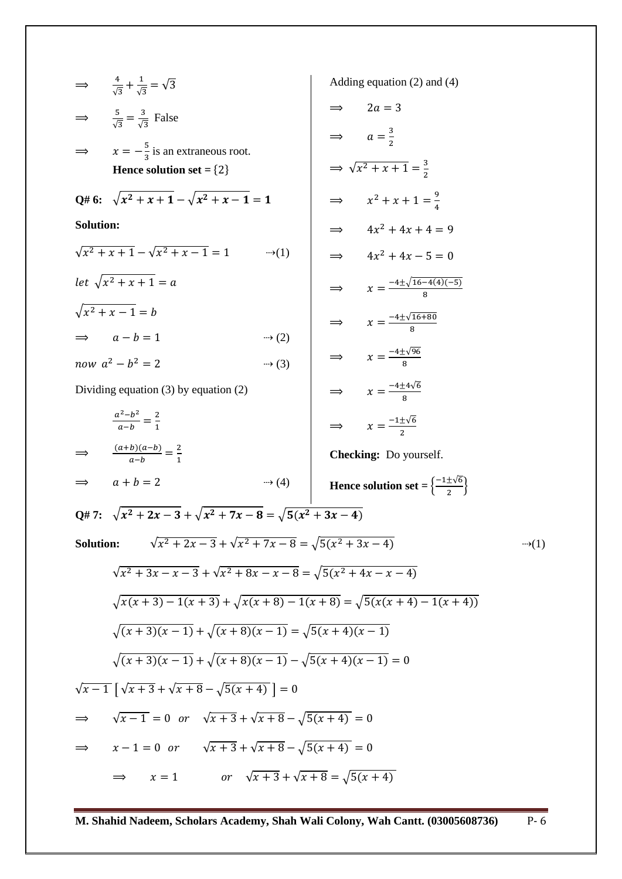$$
\Rightarrow \frac{4}{\sqrt{3}} + \frac{1}{\sqrt{3}} = \sqrt{3}
$$
  
\n
$$
\Rightarrow \frac{5}{\sqrt{3}} = \frac{3}{\sqrt{3}}
$$
 False  
\n
$$
\Rightarrow x = -\frac{5}{3}
$$
 is an extaneous root.  
\nHence solution set = {2}  
\n
$$
Q# 6: \sqrt{x^2 + x + 1} - \sqrt{x^2 + x - 1} = 1
$$
  
\nSolution:  
\n
$$
\sqrt{x^2 + x + 1} = \sqrt{x^2 + x - 1} = 1
$$
  
\n
$$
\Rightarrow 4x^2 + 4x + 1 = 9
$$
  
\n
$$
\Rightarrow 4x^2 + 4x + 1 = 9
$$
  
\n
$$
\Rightarrow 4x^2 + 4x + 1 = 9
$$
  
\n
$$
\Rightarrow 4x^2 + 4x - 5 = 0
$$
  
\n
$$
\Rightarrow 4x^2 + 4x - 5 = 0
$$
  
\n
$$
\Rightarrow 4x^2 + 4x - 5 = 0
$$
  
\n
$$
\Rightarrow 4x^2 + 4x - 5 = 0
$$
  
\n
$$
\Rightarrow 4x^2 + 4x - 5 = 0
$$
  
\n
$$
\Rightarrow 4x^2 + 4x - 5 = 0
$$
  
\n
$$
\Rightarrow 4x^2 + 4x - 5 = 0
$$
  
\n
$$
\Rightarrow 4x^2 + 4x - 5 = 0
$$
  
\n
$$
\Rightarrow x = \frac{-4 \pm \sqrt{16-4(3)(-5)}}{8}
$$
  
\n
$$
\Rightarrow x = \frac{-4 \pm \sqrt{16-4(3)(-5)}}{8}
$$
  
\n
$$
\Rightarrow x = \frac{-4 \pm \sqrt{16-4(3)(-5)}}{8}
$$
  
\n
$$
\Rightarrow x = \frac{-4 \pm \sqrt{6}}{8}
$$
  
\n
$$
\Rightarrow x = \frac{-4 \pm \sqrt{6}}{8}
$$
  
\n
$$
\Rightarrow x = \frac{-4 \pm \sqrt{6}}{8}
$$
  
\n
$$
\Rightarrow x = \frac{-1 \pm \sqrt{6}}{2}
$$
  
\n
$$
\Rightarrow 4x^2 + 4x - 5 = 0
$$
  
\n
$$
\Rightarrow x = \frac
$$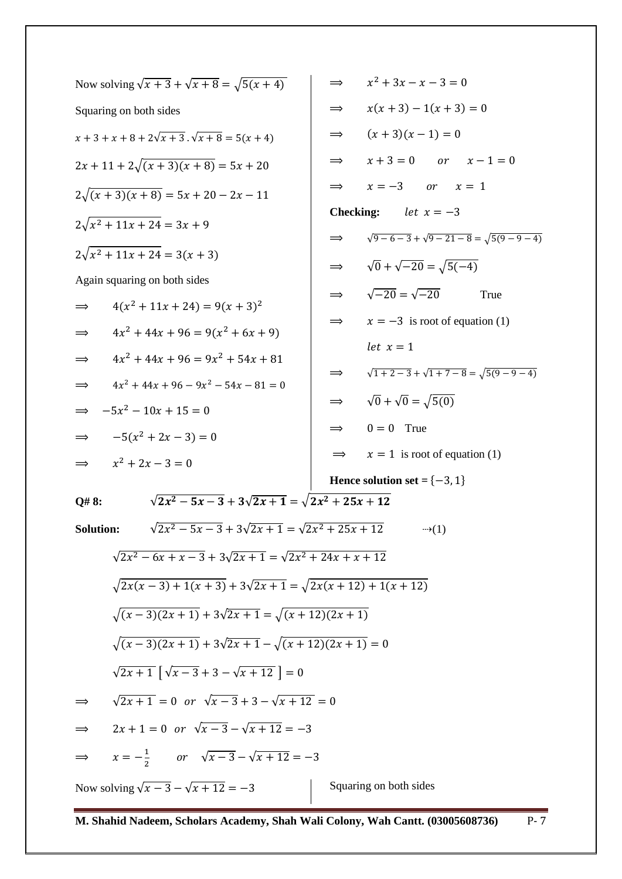| Now solving $\sqrt{x+3} + \sqrt{x+8} = \sqrt{5(x+4)}$                  | $x^2 + 3x - x - 3 = 0$<br>$\Rightarrow$                        |  |
|------------------------------------------------------------------------|----------------------------------------------------------------|--|
| Squaring on both sides                                                 | $x(x+3)-1(x+3)=0$<br>$\implies$                                |  |
| $x + 3 + x + 8 + 2\sqrt{x + 3} \cdot \sqrt{x + 8} = 5(x + 4)$          | $(x+3)(x-1) = 0$<br>$\implies$                                 |  |
| $2x + 11 + 2\sqrt{(x + 3)(x + 8)} = 5x + 20$                           | $x + 3 = 0$ or $x - 1 = 0$<br>$\implies$                       |  |
| $2\sqrt{(x+3)(x+8)} = 5x + 20 - 2x - 11$                               | $x=-3$ or $x=1$<br>$\implies$                                  |  |
| $2\sqrt{x^2+11x+24}=3x+9$                                              | <b>Checking:</b><br>let $x = -3$                               |  |
| $2\sqrt{x^2+11x+24} = 3(x+3)$                                          | $\sqrt{9-6-3} + \sqrt{9-21-8} = \sqrt{5(9-9-4)}$<br>$\implies$ |  |
|                                                                        | $\Rightarrow \sqrt{0} + \sqrt{-20} = \sqrt{5(-4)}$             |  |
| Again squaring on both sides                                           | $\Rightarrow \sqrt{-20} = \sqrt{-20}$<br>True                  |  |
| $4(x^2 + 11x + 24) = 9(x + 3)^2$<br>$\implies$                         | $x = -3$ is root of equation (1)<br>$\Rightarrow$              |  |
| $4x^2 + 44x + 96 = 9(x^2 + 6x + 9)$<br>$\Rightarrow$                   | let $x = 1$                                                    |  |
| $4x^2 + 44x + 96 = 9x^2 + 54x + 81$<br>$\implies$                      | $\sqrt{1+2-3} + \sqrt{1+7-8} = \sqrt{5(9-9-4)}$                |  |
| $4x^2 + 44x + 96 - 9x^2 - 54x - 81 = 0$<br>$\implies$                  | $\implies$                                                     |  |
| $-5x^2 - 10x + 15 = 0$<br>$\implies$                                   | $\sqrt{0} + \sqrt{0} = \sqrt{5(0)}$<br>$\implies$              |  |
| $-5(x^2+2x-3)=0$<br>$\Rightarrow$                                      | $0 = 0$ True<br>$\implies$                                     |  |
| $x^2 + 2x - 3 = 0$<br>$\implies$                                       | $x = 1$ is root of equation (1)<br>$\implies$                  |  |
|                                                                        | Hence solution set = $\{-3, 1\}$                               |  |
| $\sqrt{2x^2-5x-3}+3\sqrt{2x+1}=\sqrt{2x^2+25x+12}$<br>Q#8:             |                                                                |  |
| $\sqrt{2x^2-5x-3}+3\sqrt{2x+1}=\sqrt{2x^2+25x+12}$<br><b>Solution:</b> | $\rightarrow$ (1)                                              |  |
| $\sqrt{2x^2-6x+x-3}+3\sqrt{2x+1}=\sqrt{2x^2+24x+x+12}$                 |                                                                |  |
| $\sqrt{2x(x-3) + 1(x+3)} + 3\sqrt{2x+1} = \sqrt{2x(x+12) + 1(x+12)}$   |                                                                |  |
| $\sqrt{(x-3)(2x+1)} + 3\sqrt{2x+1} = \sqrt{(x+12)(2x+1)}$              |                                                                |  |
| $\sqrt{(x-3)(2x+1)} + 3\sqrt{2x+1} - \sqrt{(x+12)(2x+1)} = 0$          |                                                                |  |
| $\sqrt{2x+1}$ $\sqrt{x-3}+3-\sqrt{x+12}$   = 0                         |                                                                |  |
| $\sqrt{2x+1} = 0$ or $\sqrt{x-3} + 3 - \sqrt{x+12} = 0$                |                                                                |  |
| $2x + 1 = 0$ or $\sqrt{x-3} - \sqrt{x+12} = -3$<br>$\Rightarrow$       |                                                                |  |
| $\Rightarrow$ $x=-\frac{1}{2}$ or $\sqrt{x-3}-\sqrt{x+12}=-3$          |                                                                |  |
| Now solving $\sqrt{x-3} - \sqrt{x+12} = -3$                            | Squaring on both sides                                         |  |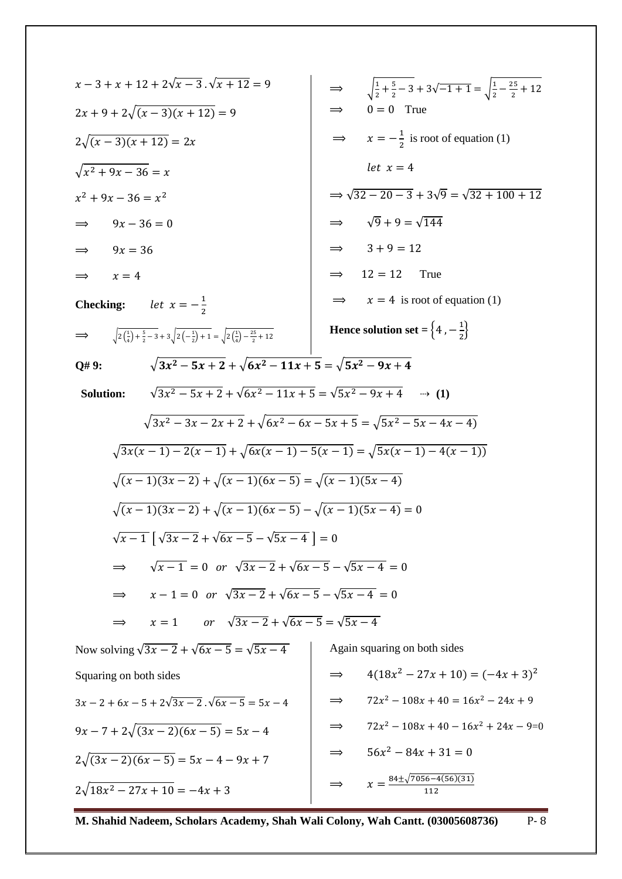$$
x-3+x+12+2\sqrt{x-3}.\sqrt{x+12} = 9
$$
\n
$$
2x+9+2\sqrt{(x-3)(x+12)} = 9
$$
\n
$$
2\sqrt{(x-3)(x+12)} = 2x
$$
\n
$$
2\sqrt{(x-3)(x+12)} = 2x
$$
\n
$$
2\sqrt{(x-3)(x+12)} = 2x
$$
\n
$$
x^2+9x-36 = x^2
$$
\n
$$
x^2+9x-36 = x^2
$$
\n
$$
x^2+9x-36 = x^2
$$
\n
$$
x^2+9x-36 = x^2
$$
\n
$$
x^2+9x-36 = x^2
$$
\n
$$
x^2+9x-36 = x^2
$$
\n
$$
x^2+9x-36 = x^2
$$
\n
$$
x^2+9x-36 = x^2
$$
\n
$$
x^2+9x-36 = x^2
$$
\n
$$
x^2+3x-36 = x^2
$$
\n
$$
x^2+3x-36 = x^2
$$
\n
$$
x^2+3x-36 = x^2
$$
\n
$$
x^2+3x-36 = x^2
$$
\n
$$
x^2+3x-36 = x^2
$$
\n
$$
x^2+3x-24 = x^2
$$
\n
$$
x^2+3x-12 = 12
$$
\n
$$
x^2+12 = 12
$$
\n
$$
x^2+12 = 12
$$
\n
$$
x^2+12 = 12
$$
\n
$$
x^2+12 = 12
$$
\n
$$
x^2+12 = 12
$$
\n
$$
x^2+3x-12 = 12
$$
\n
$$
x^2+3x-12 = 12
$$
\n
$$
x^2+3x-12 = 12
$$
\n
$$
x^2+3x-12 = 12
$$
\n
$$
x^2+3x-12 = 12
$$
\n
$$
x^2+3x-12 = 12
$$
\n
$$
x^2+3x
$$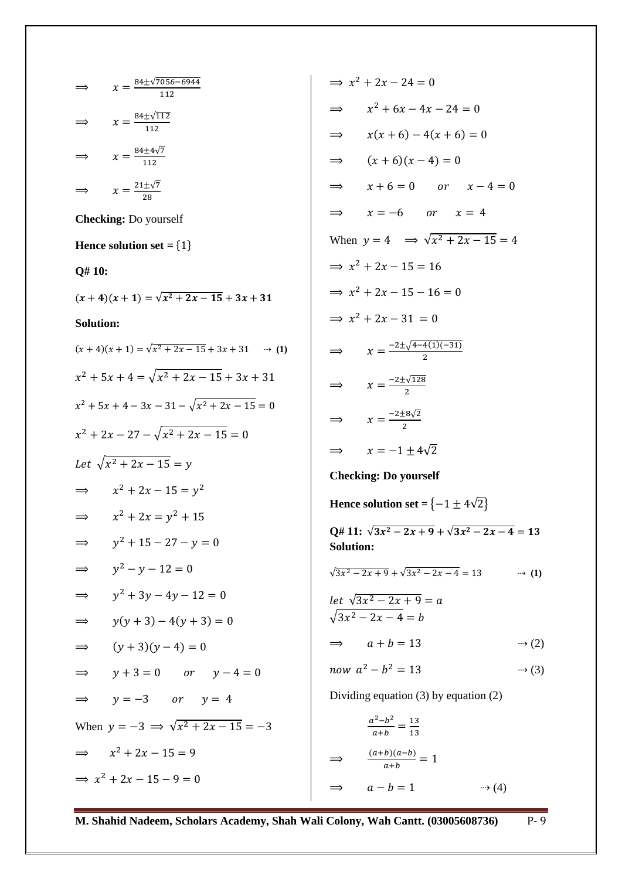⇒ 
$$
x = \frac{16+4\sqrt{7656-6944}}{112}
$$
  
\n⇒  $x = \frac{8+4\sqrt{7}}{112}$   
\n⇒  $x = \frac{21+4\sqrt{7}}{112}$   
\n⇒  $x = \frac{21+4\sqrt{7}}{112}$   
\n⇒  $x = \frac{21+4\sqrt{7}}{112}$   
\n⇒  $x = \frac{21+4\sqrt{7}}{112}$   
\n⇒  $x = \sqrt{27+28}$   
\nChecking: Do yourself  
\nHence solution set = {1}  
\n $(x + 4)(x + 1) = \sqrt{x^2 + 2x - 15} + 3x + 31$   
\n $x^2 + 5x + 4 = \sqrt{x^2 + 2x - 15} + 3x + 31$   
\n $x^2 + 5x + 4 = \sqrt{x^2 + 2x - 15} = 0$   
\n $x^2 + 2x - 27 - \sqrt{x^2 + 2x - 15} = 0$   
\n $x^2 + 2x - 15 = y^2$   
\n $x^2 + 2x - 15 = y^2$   
\n⇒  $x^2 + 2x - 15 = y^2$   
\n⇒  $x^2 + 2x - 15 = y^2$   
\n⇒  $x^2 + 2x - 15 = y^2$   
\n⇒  $y^2 - y - 12 = 0$   
\n⇒  $y^2 - y - 12 = 0$   
\n⇒  $y^2 - y - 12 = 0$   
\n⇒  $y + 3 = 0$  or  $y - 4 = 0$   
\n⇒  $y = -3$  or  $y = 4$   
\nWhen  $y = -3$  ⇒  $\sqrt{x^2 + 2x - 15} = -3$   
\n⇒  $x^2 + 2x - 15 = 9$   
\n⇒  $x^2 + 2x - 15 = 9$   
\n⇒  $x^2 + 2x - 15 = 9$   
\n⇒  $x^2 + 2x - 15 = 9$   
\n⇒  $x^2 + 2x - 15 = 9$   
\n⇒  $x^2 + 2x - 15 = 9$